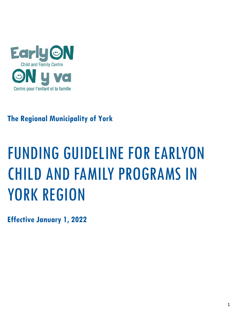

# **The Regional Municipality of York**

# FUNDING GUIDELINE FOR EARLYON CHILD AND FAMILY PROGRAMS IN YORK REGION

**Effective January 1, 2022**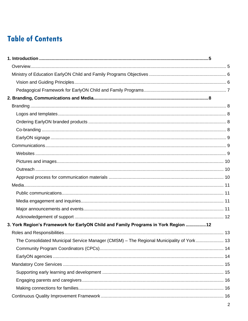# **Table of Contents**

| 3. York Region's Framework for EarlyON Child and Family Programs in York Region  12<br>The Consolidated Municipal Service Manager (CMSM) – The Regional Municipality of York 13 |  |
|---------------------------------------------------------------------------------------------------------------------------------------------------------------------------------|--|
|                                                                                                                                                                                 |  |
|                                                                                                                                                                                 |  |
|                                                                                                                                                                                 |  |
|                                                                                                                                                                                 |  |
|                                                                                                                                                                                 |  |
|                                                                                                                                                                                 |  |
|                                                                                                                                                                                 |  |
|                                                                                                                                                                                 |  |
|                                                                                                                                                                                 |  |
|                                                                                                                                                                                 |  |
|                                                                                                                                                                                 |  |
|                                                                                                                                                                                 |  |
|                                                                                                                                                                                 |  |
|                                                                                                                                                                                 |  |
|                                                                                                                                                                                 |  |
|                                                                                                                                                                                 |  |
|                                                                                                                                                                                 |  |
|                                                                                                                                                                                 |  |
|                                                                                                                                                                                 |  |
|                                                                                                                                                                                 |  |
|                                                                                                                                                                                 |  |
|                                                                                                                                                                                 |  |
|                                                                                                                                                                                 |  |
|                                                                                                                                                                                 |  |
|                                                                                                                                                                                 |  |
|                                                                                                                                                                                 |  |
|                                                                                                                                                                                 |  |
|                                                                                                                                                                                 |  |
|                                                                                                                                                                                 |  |
|                                                                                                                                                                                 |  |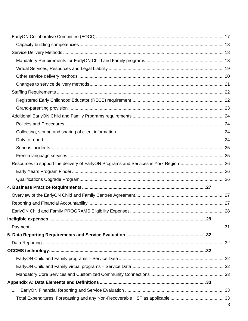| 1. |              |
|----|--------------|
|    |              |
|    | $\mathbf{z}$ |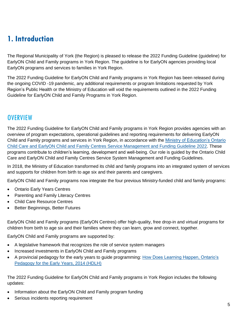# <span id="page-4-0"></span>**1. Introduction**

The Regional Municipality of York (the Region) is pleased to release the 2022 Funding Guideline (guideline) for EarlyON Child and Family programs in York Region. The guideline is for EarlyON agencies providing local EarlyON programs and services to families in York Region.

The 2022 Funding Guideline for EarlyON Child and Family programs in York Region has been released during the ongoing COVID -19 pandemic, any additional requirements or program limitations requested by York Region's Public Health or the Ministry of Education will void the requirements outlined in the 2022 Funding Guideline for EarlyON Child and Family Programs in York Region.

### <span id="page-4-1"></span>**OVERVIEW**

The 2022 Funding Guideline for EarlyON Child and Family programs in York Region provides agencies with an overview of program expectations, operational guidelines and reporting requirements for delivering EarlyON Child and Family programs and services in York Region, in accordance with the [Ministry of Education's Ontario](https://efis.fma.csc.gov.on.ca/faab/Memos/CC2021/EYCC03_Attach1_EN.pdf)  [Child Care and EarlyON Child and Family Centres Service Management and Funding Guideline 2022.](https://efis.fma.csc.gov.on.ca/faab/Memos/CC2021/EYCC03_Attach1_EN.pdf) These programs contribute to children's learning, development and well-being. Our role is guided by the Ontario Child Care and EarlyON Child and Family Centres Service System Management and Funding Guidelines.

In 2018, the Ministry of Education transformed its child and family programs into an integrated system of services and supports for children from birth to age six and their parents and caregivers.

EarlyON Child and Family programs now integrate the four previous Ministry-funded child and family programs:

- Ontario Early Years Centres
- Parenting and Family Literacy Centres
- Child Care Resource Centres
- Better Beginnings, Better Futures

EarlyON Child and Family programs (EarlyON Centres) offer high-quality, free drop-in and virtual programs for children from birth to age six and their families where they can learn, grow and connect, together.

EarlyON Child and Family programs are supported by:

- A legislative framework that recognizes the role of service system managers
- Increased investments in EarlyON Child and Family programs
- A provincial pedagogy for the early years to guide programming: How [Does Learning Happen, Ontario's](http://www.edu.gov.on.ca/childcare/HowLearningHappens.pdf)  [Pedagogy for the Early Years, 2014 \(HDLH\)](http://www.edu.gov.on.ca/childcare/HowLearningHappens.pdf)

The 2022 Funding Guideline for EarlyON Child and Family programs in York Region includes the following updates:

- Information about the EarlyON Child and Family program funding
- Serious incidents reporting requirement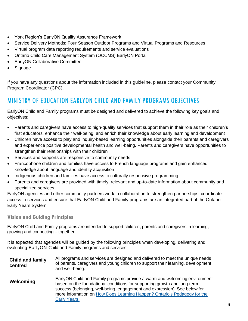- York Region's EarlyON Quality Assurance Framework
- Service Delivery Methods: Four Season Outdoor Programs and Virtual Programs and Resources
- Virtual program data reporting requirements and service evaluations
- Ontario Child Care Management System (OCCMS) EarlyON Portal
- EarlyON Collaborative Committee
- Signage

If you have any questions about the information included in this guideline, please contact your Community Program Coordinator (CPC).

### <span id="page-5-0"></span>MINISTRY OF EDUCATION EARLYON CHILD AND FAMILY PROGRAMS OBJECTIVES

EarlyON Child and Family programs must be designed and delivered to achieve the following key goals and objectives:

- Parents and caregivers have access to high-quality services that support them in their role as their children's first educators, enhance their well-being, and enrich their knowledge about early learning and development
- Children have access to play and inquiry-based learning opportunities alongside their parents and caregivers and experience positive developmental health and well-being. Parents and caregivers have opportunities to strengthen their relationships with their children
- Services and supports are responsive to community needs
- Francophone children and families have access to French language programs and gain enhanced knowledge about language and identity acquisition
- Indigenous children and families have access to culturally responsive programming
- Parents and caregivers are provided with timely, relevant and up-to-date information about community and specialized services

EarlyON agencies and other community partners work in collaboration to strengthen partnerships, coordinate access to services and ensure that EarlyON Child and Family programs are an integrated part of the Ontario Early Years System

### <span id="page-5-1"></span>**Vision and Guiding Principles**

EarlyON Child and Family programs are intended to support children, parents and caregivers in learning, growing and connecting – together.

It is expected that agencies will be guided by the following principles when developing, delivering and evaluating EarlyON Child and Family programs and services:

**Child and family centred** All programs and services are designed and delivered to meet the unique needs of parents, caregivers and young children to support their learning, development and well-being. **Welcoming** EarlyON Child and Family programs provide a warm and welcoming environment based on the foundational conditions for supporting growth and long-term success (belonging, well-being, engagement and expression). See below for more information on How Does Learning Happen? [Ontario's Pedagogy](http://www.edu.gov.on.ca/childcare/HowLearningHappens.pdf) for the [Early Years.](http://www.edu.gov.on.ca/childcare/HowLearningHappens.pdf)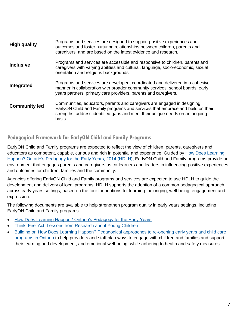| <b>High quality</b>  | Programs and services are designed to support positive experiences and<br>outcomes and foster nurturing relationships between children, parents and<br>caregivers, and are based on the latest evidence and research.                               |
|----------------------|-----------------------------------------------------------------------------------------------------------------------------------------------------------------------------------------------------------------------------------------------------|
| <b>Inclusive</b>     | Programs and services are accessible and responsive to children, parents and<br>caregivers with varying abilities and cultural, language, socio-economic, sexual<br>orientation and religious backgrounds.                                          |
| Integrated           | Programs and services are developed, coordinated and delivered in a cohesive<br>manner in collaboration with broader community services, school boards, early<br>years partners, primary care providers, parents and caregivers.                    |
| <b>Community led</b> | Communities, educators, parents and caregivers are engaged in designing<br>EarlyON Child and Family programs and services that embrace and build on their<br>strengths, address identified gaps and meet their unique needs on an ongoing<br>basis. |

### <span id="page-6-0"></span>**Pedagogical Framework for EarlyON Child and Family Programs**

EarlyON Child and Family programs are expected to reflect the view of children, parents, caregivers and educators as competent, capable, curious and rich in potential and experience. Guided by [How Does Learning](http://www.edu.gov.on.ca/childcare/HowLearningHappens.pdf)  [Happen? Ontario's](http://www.edu.gov.on.ca/childcare/HowLearningHappens.pdf) [Pedagogy for the Early Years, 2014 \(HDLH\),](http://www.edu.gov.on.ca/childcare/HowLearningHappens.pdf) EarlyON Child and Family programs provide an environment that engages parents and caregivers as co-learners and leaders in influencing positive experiences and outcomes for children, families and the community.

Agencies offering EarlyON Child and Family programs and services are expected to use HDLH to guide the development and delivery of local programs. HDLH supports the adoption of a common pedagogical approach across early years settings, based on the four foundations for learning: belonging, well-being, engagement and expression.

The following documents are available to help strengthen program quality in early years settings, including EarlyON Child and Family programs:

- How Does [Learning Happen? Ontario's Pedagogy for the Early Years](http://www.edu.gov.on.ca/childcare/HowLearningHappens.pdf)
- [Think, Feel Act: Lessons from Research](http://www.edu.gov.on.ca/childcare/ResearchBriefs.pdf) about Young Children
- [Building on How Does Learning Happen? Pedagogical approaches to re-opening early years and child care](http://www.edu.gov.on.ca/childcare/building-on-how-does-learning-happen-child-care.pdf)  [programs in Ontario](http://www.edu.gov.on.ca/childcare/building-on-how-does-learning-happen-child-care.pdf) to help providers and staff plan ways to engage with children and families and support their learning and development, and emotional well-being, while adhering to health and safety measures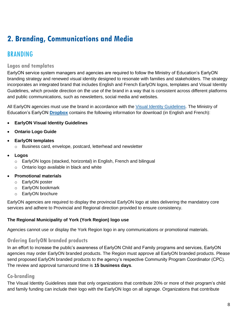# <span id="page-7-0"></span>**2. Branding, Communications and Media**

### <span id="page-7-1"></span>BRANDING

### <span id="page-7-2"></span>**Logos and templates**

EarlyON service system managers and agencies are required to follow the Ministry of Education's EarlyON branding strategy and renewed visual identity designed to resonate with families and stakeholders. The strategy incorporates an integrated brand that includes English and French EarlyON logos, templates and Visual Identity Guidelines, which provide direction on the use of the brand in a way that is consistent across different platforms and public communications, such as newsletters, social media and websites.

All EarlyON agencies must use the brand in accordance with the [Visual Identity Guidelines.](https://www.dropbox.com/sh/izbrbsssyhpj6az/AADS_gos1dawvS8tmVWZUjmSa/EarlyON%20Logos%20and%20Templates/Visual%20Identity%20Guideline?dl=0&preview=EarlyON_Visual_Identity_ENG_AODA.pdf&subfolder_nav_tracking=1) The Ministry of Education's EarlyON **[Dropbox](https://www.dropbox.com/sh/izbrbsssyhpj6az/AAD-Crn6Ols630y57LuMsmdfa?dl=0)** contains the following information for download (in English and French):

- **EarlyON Visual Identity Guidelines**
- **Ontario Logo Guide**
- **EarlyON templates**
	- o Business card, envelope, postcard, letterhead and newsletter
- **Logos**
	- o EarlyON logos (stacked, horizontal) in English, French and bilingual
	- o Ontario logo available in black and white

### • **Promotional materials**

- o EarlyON poster
- o EarlyON bookmark
- o EarlyON brochure

EarlyON agencies are required to display the provincial EarlyON logo at sites delivering the mandatory core services and adhere to Provincial and Regional direction provided to ensure consistency.

### **The Regional Municipality of York (York Region) logo use**

Agencies cannot use or display the York Region logo in any communications or promotional materials.

### <span id="page-7-3"></span>**Ordering EarlyON branded products**

In an effort to increase the public's awareness of EarlyON Child and Family programs and services, EarlyON agencies may order EarlyON branded products. The Region must approve all EarlyON branded products. Please send proposed EarlyON branded products to the agency's respective Community Program Coordinator (CPC). The review and approval turnaround time is **15 business days**.

### <span id="page-7-4"></span>**Co-branding**

The Visual Identity Guidelines state that only organizations that contribute 20% or more of their program's child and family funding can include their logo with the EarlyON logo on all signage. Organizations that contribute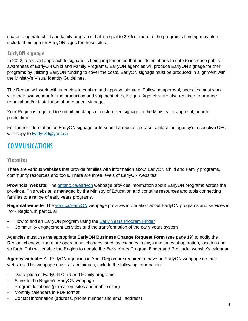space to operate child and family programs that is equal to 20% or more of the program's funding may also include their logo on EarlyON signs for those sites.

### <span id="page-8-0"></span>**EarlyON signage**

In 2022, a revised approach to signage is being implemented that builds on efforts to date to increase public awareness of EarlyON Child and Family Programs. EarlyON agencies will produce EarlyON signage for their programs by utilizing EarlyON funding to cover the costs. EarlyON signage must be produced in alignment with the Ministry's Visual Identity Guidelines.

The Region will work with agencies to confirm and approve signage. Following approval, agencies must work with their own vendor for the production and shipment of their signs. Agencies are also required to arrange removal and/or installation of permanent signage.

York Region is required to submit mock-ups of customized signage to the Ministry for approval, prior to production.

For further information on EarlyON signage or to submit a request, please contact the agency's respective CPC, with copy to [EarlyON@york.ca](mailto:EarlyON@york.ca)

### <span id="page-8-1"></span>COMMUNICATIONS

### <span id="page-8-2"></span>**Websites**

There are various websites that provide families with information about EarlyON Child and Family programs, community resources and tools. There are three levels of EarlyON websites:

**Provincial website**: The [ontario.ca/earlyon](http://www.ontario.ca/earlyon) webpage provides information about EarlyON programs across the province. This website is managed by the Ministry of Education and contains resources and tools connecting families to a range of early years programs.

**Regional website**: The [york.ca/EarlyON](http://www.york.ca/EarlyON) webpage provides information about EarlyON programs and services in York Region, in particular:

- How to find an EarlyON program using the [Early Years Program Finder](https://ww6.yorkmaps.ca/Html5Viewer24/Index.html?viewer=ChildrensServices.YorkMaps)
- Community engagement activities and the transformation of the early years system

Agencies must use the appropriate **EarlyON Business Change Request Form** (see page 19) to notify the Region whenever there are operational changes, such as changes in days and times of operation, location and so forth. This will enable the Region to update the Early Years Program Finder and Provincial website's calendar.

**Agency website:** All EarlyON agencies in York Region are required to have an EarlyON webpage on their websites. This webpage must, at a minimum, include the following information:

- Description of EarlyON Child and Family programs
- A link to the Region's EarlyON webpage
- Program locations (permanent sites and mobile sites)
- Monthly calendars in PDF format
- Contact information (address, phone number and email address)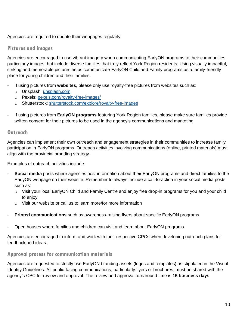Agencies are required to update their webpages regularly.

### <span id="page-9-0"></span>**Pictures and images**

Agencies are encouraged to use vibrant imagery when communicating EarlyON programs to their communities, particularly images that include diverse families that truly reflect York Region residents. Using visually impactful, striking and memorable pictures helps communicate EarlyON Child and Family programs as a family-friendly place for young children and their families.

- If using pictures from **websites**, please only use royalty-free pictures from websites such as:
	- o Unsplash: [unsplash.com](https://unsplash.com/)
	- o Pexels: [pexels.com/royalty-free-images/](https://www.pexels.com/royalty-free-images/)
	- o Shutterstock: [shutterstock.com/explore/royalty-free-images](https://www.shutterstock.com/explore/royalty-free-images)
- If using pictures from **EarlyON programs** featuring York Region families, please make sure families provide written consent for their pictures to be used in the agency's communications and marketing

### <span id="page-9-1"></span>**Outreach**

Agencies can implement their own outreach and engagement strategies in their communities to increase family participation in EarlyON programs. Outreach activities involving communications (online, printed materials) must align with the provincial branding strategy.

Examples of outreach activities include:

- Social media posts where agencies post information about their EarlyON programs and direct families to the EarlyON webpage on their website. Remember to always include a call-to-action in your social media posts such as:
	- o Visit your local EarlyON Child and Family Centre and enjoy free drop-in programs for you and your child to enjoy
	- o Visit our website or call us to learn more/for more information
- **Printed communications** such as awareness-raising flyers about specific EarlyON programs
- Open houses where families and children can visit and learn about EarlyON programs

Agencies are encouraged to inform and work with their respective CPCs when developing outreach plans for feedback and ideas.

### <span id="page-9-2"></span>**Approval process for communication materials**

Agencies are requested to strictly use EarlyON branding assets (logos and templates) as stipulated in the Visual Identity Guidelines. All public-facing communications, particularly flyers or brochures, must be shared with the agency's CPC for review and approval. The review and approval turnaround time is **15 business days**.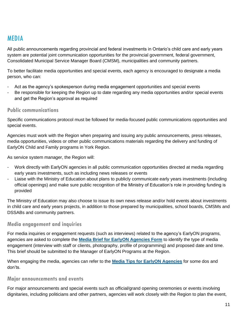### <span id="page-10-0"></span>MEDIA

All public announcements regarding provincial and federal investments in Ontario's child care and early years system are potential joint communication opportunities for the provincial government, federal government, Consolidated Municipal Service Manager Board (CMSM), municipalities and community partners.

To better facilitate media opportunities and special events, each agency is encouraged to designate a media person, who can:

- Act as the agency's spokesperson during media engagement opportunities and special events
- Be responsible for keeping the Region up to date regarding any media opportunities and/or special events and get the Region's approval as required

### <span id="page-10-1"></span>**Public communications**

Specific communications protocol must be followed for media-focused public communications opportunities and special events.

Agencies must work with the Region when preparing and issuing any public announcements, press releases, media opportunities, videos or other public communications materials regarding the delivery and funding of EarlyON Child and Family programs in York Region.

As service system manager, the Region will:

- Work directly with EarlyON agencies in all public communication opportunities directed at media regarding early years investments, such as including news releases or events
- Liaise with the Ministry of Education about plans to publicly communicate early years investments (including official openings) and make sure public recognition of the Ministry of Education's role in providing funding is provided

The Ministry of Education may also choose to issue its own news release and/or hold events about investments in child care and early years projects, in addition to those prepared by municipalities, school boards, CMSMs and DSSABs and community partners.

### <span id="page-10-2"></span>**Media engagement and inquiries**

For media inquiries or engagement requests (such as interviews) related to the agency's EarlyON programs, agencies are asked to complete the **[Media Brief for EarlyON Agencies Form](https://www.york.ca/wps/wcm/connect/yorkpublic/615b16c5-4005-4d4b-af55-6f3c45faf51a/YR-EarlyON-Media-Brief-for-EarlyON-agencies.DOCX?MOD=AJPERES)** to identify the type of media engagement (interview with staff or clients, photography, profile of programming) and proposed date and time. This brief should be submitted to the Manager of EarlyON Programs at the Region.

When engaging the media, agencies can refer to the **[Media Tips for EarlyON Agencies](https://www.york.ca/wps/wcm/connect/yorkpublic/45d45c73-98b6-4657-a0fd-a8bfd9a44337/YR-EarlyON-Media-Tips-for-EarlyON-agencies.pdf?MOD=AJPERES)** for some dos and don'ts.

### <span id="page-10-3"></span>**Major announcements and events**

For major announcements and special events such as official/grand opening ceremonies or events involving dignitaries, including politicians and other partners, agencies will work closely with the Region to plan the event,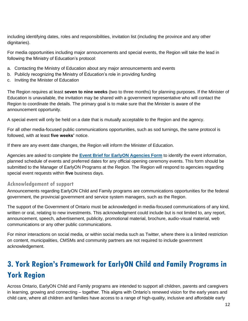including identifying dates, roles and responsibilities, invitation list (including the province and any other dignitaries).

For media opportunities including major announcements and special events, the Region will take the lead in following the Ministry of Education's protocol:

- a. Contacting the Ministry of Education about any major announcements and events
- b. Publicly recognizing the Ministry of Education's role in providing funding
- c. Inviting the Minister of Education

The Region requires at least **seven to nine weeks** (two to three months) for planning purposes. If the Minister of Education is unavailable, the invitation may be shared with a government representative who will contact the Region to coordinate the details. The primary goal is to make sure that the Minister is aware of the announcement opportunity.

A special event will only be held on a date that is mutually acceptable to the Region and the agency.

For all other media-focused public communications opportunities, such as sod turnings, the same protocol is followed, with at least **five weeks'** notice.

If there are any event date changes, the Region will inform the Minister of Education.

Agencies are asked to complete the **[Event Brief for EarlyON Agencies Form](https://www.york.ca/wps/wcm/connect/yorkpublic/22d2effe-f2ad-40d5-b74f-f183febb006b/YR-EarlyON-Event-Brief-for-EarlyON-agencies.DOCX?MOD=AJPERES)** to identify the event information, planned schedule of events and preferred dates for any official opening ceremony events. This form should be submitted to the Manager of EarlyON Programs at the Region. The Region will respond to agencies regarding special event requests within **five** business days.

### <span id="page-11-0"></span>**Acknowledgement of support**

Announcements regarding EarlyON Child and Family programs are communications opportunities for the federal government, the provincial government and service system managers, such as the Region.

The support of the Government of Ontario must be acknowledged in media-focused communications of any kind, written or oral, relating to new investments. This acknowledgment could include but is not limited to, any report, announcement, speech, advertisement, publicity, promotional material, brochure, audio-visual material, web communications or any other public communications.

For minor interactions on social media, or within social media such as Twitter, where there is a limited restriction on content, municipalities, CMSMs and community partners are not required to include government acknowledgement.

# <span id="page-11-1"></span>**3. York Region's Framework for EarlyON Child and Family Programs in York Region**

Across Ontario, EarlyON Child and Family programs are intended to support all children, parents and caregivers in learning, growing and connecting – together. This aligns with Ontario's renewed vision for the early years and child care, where all children and families have access to a range of high-quality, inclusive and affordable early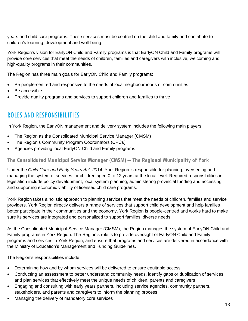years and child care programs. These services must be centred on the child and family and contribute to children's learning, development and well-being.

York Region's vision for EarlyON Child and Family programs is that EarlyON Child and Family programs will provide core services that meet the needs of children, families and caregivers with inclusive, welcoming and high-quality programs in their communities.

The Region has three main goals for EarlyON Child and Family programs:

- Be people-centred and responsive to the needs of local neighbourhoods or communities
- Be accessible
- Provide quality programs and services to support children and families to thrive

### <span id="page-12-0"></span>ROLES AND RESPONSIBILITIES

In York Region, the EarlyON management and delivery system includes the following main players:

- The Region as the Consolidated Municipal Service Manager (CMSM)
- The Region's Community Program Coordinators (CPCs)
- Agencies providing local EarlyON Child and Family programs

### <span id="page-12-1"></span>**The Consolidated Municipal Service Manager (CMSM) – The Regional Municipality of York**

Under the *Child Care and Early Years Act, 2014*, York Region is responsible for planning, overseeing and managing the system of services for children aged 0 to 12 years at the local level. Required responsibilities in legislation include policy development, local system planning, administering provincial funding and accessing and supporting economic viability of licensed child care programs.

York Region takes a holistic approach to planning services that meet the needs of children, families and service providers. York Region directly delivers a range of services that support child development and help families better participate in their communities and the economy. York Region is people-centred and works hard to make sure its services are integrated and personalized to support families' diverse needs.

As the Consolidated Municipal Service Manager (CMSM), the Region manages the system of EarlyON Child and Family programs in York Region. The Region's role is to provide oversight of EarlyON Child and Family programs and services in York Region, and ensure that programs and services are delivered in accordance with the Ministry of Education's Management and Funding Guidelines.

The Region's responsibilities include:

- Determining how and by whom services will be delivered to ensure equitable access
- Conducting an assessment to better understand community needs, identify gaps or duplication of services, and plan services that effectively meet the unique needs of children, parents and caregivers
- Engaging and consulting with early years partners, including service agencies, community partners, stakeholders, and parents and caregivers to inform the planning process
- Managing the delivery of mandatory core services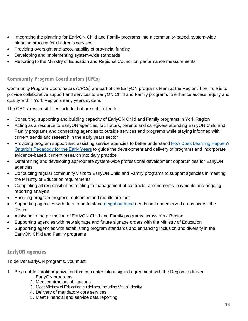- Integrating the planning for EarlyON Child and Family programs into a community-based, system-wide planning process for children's services
- Providing oversight and accountability of provincial funding
- Developing and implementing system-wide standards
- Reporting to the Ministry of Education and Regional Council on performance measurements

### <span id="page-13-0"></span>**Community Program Coordinators (CPCs)**

Community Program Coordinators (CPCs) are part of the EarlyON programs team at the Region. Their role is to provide collaborative support and services to EarlyON Child and Family programs to enhance access, equity and quality within York Region's early years system.

The CPCs' responsibilities include, but are not limited to:

- Consulting, supporting and building capacity of EarlyON Child and Family programs in York Region
- Acting as a resource to EarlyON agencies, facilitators, parents and caregivers attending EarlyON Child and Family programs and connecting agencies to outside services and programs while staying informed with current trends and research in the early years sector
- Providing program support and assisting service agencies to better understand How Does Learning Happen? [Ontario's Pedagogy for the Early Years](http://www.edu.gov.on.ca/childcare/HowLearningHappens.pdf) to guide the development and delivery of programs and incorporate evidence-based, current research into daily practice
- Determining and developing appropriate system-wide professional development opportunities for EarlyON agencies
- Conducting regular community visits to EarlyON Child and Family programs to support agencies in meeting the Ministry of Education requirements
- Completing all responsibilities relating to management of contracts, amendments, payments and ongoing reporting analysis
- Ensuring program progress, outcomes and results are met
- Supporting agencies with data to understand [neighbourhood](file://///ykr-rpfs/fdr-chs$/baccaria/Desktop/neighbor) needs and underserved areas across the Region
- Assisting in the promotion of EarlyON Child and Family programs across York Region
- Supporting agencies with new signage and future signage orders with the Ministry of Education
- Supporting agencies with establishing program standards and enhancing inclusion and diversity in the EarlyON Child and Family programs

### <span id="page-13-1"></span>**EarlyON agencies**

To deliver EarlyON programs, you must:

- 1. Be a not-for-profit organization that can enter into a signed agreement with the Region to deliver EarlyON programs.
	- 2. Meet contractual obligations
	- 3. Meet Ministry of Education guidelines, including Visual Identity
	- 4. Delivery of mandatory core services.
	- 5. Meet Financial and service data reporting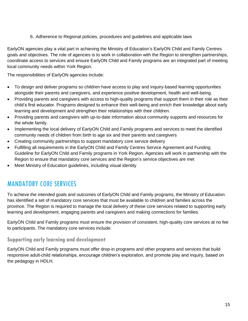6. Adherence to Regional policies, procedures and guidelines and applicable laws

EarlyON agencies play a vital part in achieving the Ministry of Education's EarlyON Child and Family Centres goals and objectives. The role of agencies is to work in collaboration with the Region to strengthen partnerships, coordinate access to services and ensure EarlyON Child and Family programs are an integrated part of meeting local community needs within York Region.

The responsibilities of EarlyON agencies include:

- To design and deliver programs so children have access to play and inquiry-based learning opportunities alongside their parents and caregivers, and experience positive development, health and well-being.
- Providing parents and caregivers with access to high-quality programs that support them in their role as their child's first educator. Programs designed to enhance their well-being and enrich their knowledge about early learning and development and strengthen their relationships with their children.
- Providing parents and caregivers with up-to-date information about community supports and resources for the whole family.
- Implementing the local delivery of EarlyON Child and Family programs and services to meet the identified community needs of children from birth to age six and their parents and caregivers
- Creating community partnerships to support mandatory core service delivery
- Fulfilling all requirements in the EarlyON Child and Family Centres Service Agreement and Funding Guideline for EarlyON Child and Family programs in York Region. Agencies will work in partnership with the Region to ensure that mandatory core services and the Region's service objectives are met
- Meet Ministry of Education guidelines, including visual identity

### <span id="page-14-0"></span>MANDATORY CORE SERVICES

To achieve the intended goals and outcomes of EarlyON Child and Family programs, the Ministry of Education has identified a set of mandatory core services that must be available to children and families across the province. The Region is required to manage the local delivery of these core services related to supporting early learning and development, engaging parents and caregivers and making connections for families.

EarlyON Child and Family programs must ensure the provision of consistent, high-quality core services at no fee to participants. The mandatory core services include:

### <span id="page-14-1"></span>**Supporting early learning and development**

EarlyON Child and Family programs must offer drop-in programs and other programs and services that build responsive adult-child relationships, encourage children's exploration, and promote play and inquiry, based on the pedagogy in HDLH.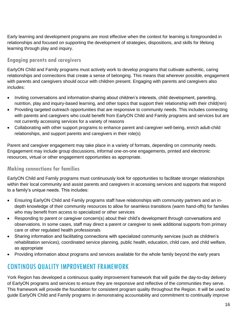Early learning and development programs are most effective when the context for learning is foregrounded in relationships and focused on supporting the development of strategies, dispositions, and skills for lifelong learning through play and inquiry.

### <span id="page-15-0"></span>**Engaging parents and caregivers**

EarlyON Child and Family programs must actively work to develop programs that cultivate authentic, caring relationships and connections that create a sense of belonging. This means that wherever possible, engagement with parents and caregivers should occur with children present. Engaging with parents and caregivers also includes:

- Inviting conversations and information-sharing about children's interests, child development, parenting, nutrition, play and inquiry-based learning, and other topics that support their relationship with their child(ren)
- Providing targeted outreach opportunities that are responsive to community needs. This includes connecting with parents and caregivers who could benefit from EarlyON Child and Family programs and services but are not currently accessing services for a variety of reasons
- Collaborating with other support programs to enhance parent and caregiver well-being, enrich adult-child relationships, and support parents and caregivers in their role(s)

Parent and caregiver engagement may take place in a variety of formats, depending on community needs. Engagement may include group discussions, informal one-on-one engagements, printed and electronic resources, virtual or other engagement opportunities as appropriate.

### <span id="page-15-1"></span>**Making connections for families**

EarlyON Child and Family programs must continuously look for opportunities to facilitate stronger relationships within their local community and assist parents and caregivers in accessing services and supports that respond to a family's unique needs. This includes:

- Ensuring EarlyON Child and Family programs staff have relationships with community partners and an indepth knowledge of their community resources to allow for seamless transitions (warm hand-offs) for families who may benefit from access to specialized or other services
- Responding to parent or caregiver concern(s) about their child's development through conversations and observations. In some cases, staff may direct a parent or caregiver to seek additional supports from primary care or other regulated health professionals
- Sharing information and facilitating connections with specialized community services (such as children's rehabilitation services), coordinated service planning, public health, education, child care, and child welfare, as appropriate
- Providing information about programs and services available for the whole family beyond the early years

### <span id="page-15-2"></span>CONTINOUS QUALITY IMPROVEMENT FRAMEWORK

York Region has developed a continuous quality improvement framework that will guide the day-to-day delivery of EarlyON programs and services to ensure they are responsive and reflective of the communities they serve. This framework will provide the foundation for consistent program quality throughout the Region. It will be used to guide EarlyON Child and Family programs in demonstrating accountability and commitment to continually improve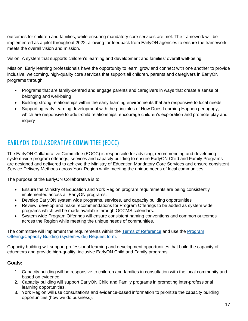outcomes for children and families, while ensuring mandatory core services are met. The framework will be implemented as a pilot throughout 2022, allowing for feedback from EarlyON agencies to ensure the framework meets the overall vision and mission.

Vision: A system that supports children's learning and development and families' overall well-being.

Mission: Early learning professionals have the opportunity to learn, grow and connect with one another to provide inclusive, welcoming, high-quality core services that support all children, parents and caregivers in EarlyON programs through:

- Programs that are family-centred and engage parents and caregivers in ways that create a sense of belonging and well-being
- Building strong relationships within the early learning environments that are responsive to local needs
- Supporting early learning development with the principles of How Does Learning Happen pedagogy, which are responsive to adult-child relationships, encourage children's exploration and promote play and inquiry

### <span id="page-16-0"></span>EARLYON COLLABORATIVE COMMITTEE (EOCC)

The EarlyON Collaborative Committee (EOCC) is responsible for advising, recommending and developing system-wide program offerings, services and capacity building to ensure EarlyON Child and Family Programs are designed and delivered to achieve the Ministry of Education Mandatory Core Services and ensure consistent Service Delivery Methods across York Region while meeting the unique needs of local communities.

The purpose of the EarlyON Collaborative is to:

- Ensure the Ministry of Education and York Region program requirements are being consistently implemented across all EarlyON programs.
- Develop EarlyON system wide programs, services, and capacity building opportunities
- Review, develop and make recommendations for Program Offerings to be added as system wide programs which will be made available through OCCMS calendars.
- System wide Program Offerings will ensure consistent naming conventions and common outcomes across the Region while meeting the unique needs of communities.

The committee will implement the requirements within the [Terms of Reference](https://www.york.ca/wps/wcm/connect/yorkpublic/df0cda1f-f9b1-44ca-ac5f-9218579b3fc6/EarlyON-Collaborative-Committee-EOCC-Terms-of-Reference.pdf?MOD=AJPERES&CVID=nZVzn9R) and use the [Program](https://www.york.ca/wps/wcm/connect/yorkpublic/81c7f6af-5cc7-4bae-8f05-bedfe9f36e33/EarlyON-Collaborative-Committee-Request-Form.pdf?MOD=AJPERES&CVID=nZVyRcd) [Offering/Capacity Building \(system-wide\) Request form.](https://www.york.ca/wps/wcm/connect/yorkpublic/81c7f6af-5cc7-4bae-8f05-bedfe9f36e33/EarlyON-Collaborative-Committee-Request-Form.pdf?MOD=AJPERES&CVID=nZVyRcd)

Capacity building will support professional learning and development opportunities that build the capacity of educators and provide high-quality, inclusive EarlyON Child and Family programs.

### **Goals:**

- 1. Capacity building will be responsive to children and families in consultation with the local community and based on evidence.
- 2. Capacity building will support EarlyON Child and Family programs in promoting inter-professional learning opportunities.
- 3. York Region will use consultations and evidence-based information to prioritize the capacity building opportunities (how we do business).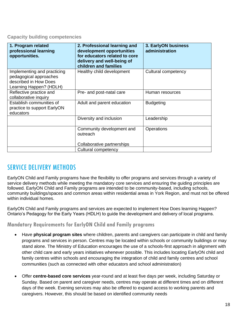#### <span id="page-17-0"></span>**Capacity building competencies**

| 1. Program related<br>professional learning<br>opportunities.                                             | 2. Professional learning and<br>development opportunities<br>for educators related to core<br>delivery and well-being of<br>children and families | 3. EarlyON business<br>administration |
|-----------------------------------------------------------------------------------------------------------|---------------------------------------------------------------------------------------------------------------------------------------------------|---------------------------------------|
| Implementing and practicing<br>pedagogical approaches<br>described in How Does<br>Learning Happen? (HDLH) | Healthy child development                                                                                                                         | Cultural competency                   |
| Reflective practice and<br>collaborative inquiry                                                          | Pre- and post-natal care                                                                                                                          | Human resources                       |
| Establish communities of<br>practice to support EarlyON<br>educators                                      | Adult and parent education                                                                                                                        | <b>Budgeting</b>                      |
|                                                                                                           | Diversity and inclusion                                                                                                                           | Leadership                            |
|                                                                                                           | Community development and<br>outreach                                                                                                             | Operations                            |
|                                                                                                           | Collaborative partnerships                                                                                                                        |                                       |
|                                                                                                           | Cultural competency                                                                                                                               |                                       |

### <span id="page-17-1"></span>SERVICE DELIVERY METHODS

EarlyON Child and Family programs have the flexibility to offer programs and services through a variety of service delivery methods while meeting the mandatory core services and ensuring the guiding principles are followed. EarlyON Child and Family programs are intended to be community-based, including schools, community buildings/spaces and common areas within residential areas in York Region, and must not be offered within individual homes.

EarlyON Child and Family programs and services are expected to implement How Does learning Happen? Ontario's Pedagogy for the Early Years (HDLH) to guide the development and delivery of local programs.

### <span id="page-17-2"></span>**Mandatory Requirements for EarlyON Child and Family programs**

- Have **physical program sites** where children, parents and caregivers can participate in child and family programs and services in person. Centres may be located within schools or community buildings or may stand alone. The Ministry of Education encourages the use of a schools-first approach in alignment with other child care and early years initiatives whenever possible. This includes locating EarlyON child and family centres within schools and encouraging the integration of child and family centres and school communities (such as connected with other educators and school administration)
- Offer **centre-based core services** year-round and at least five days per week, including Saturday or Sunday. Based on parent and caregiver needs, centres may operate at different times and on different days of the week. Evening services may also be offered to expand access to working parents and caregivers. However, this should be based on identified community needs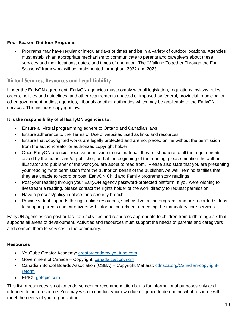### **Four-Season Outdoor Programs**:

• Programs may have regular or irregular days or times and be in a variety of outdoor locations. Agencies must establish an appropriate mechanism to communicate to parents and caregivers about these services and their locations, dates, and times of operation. The "Walking Together Through the Four Seasons" framework will be implemented throughout 2022 and 2023.

### <span id="page-18-0"></span>**Virtual Services, Resources and Legal Liability**

Under the EarlyON agreement, EarlyON agencies must comply with all legislation, regulations, bylaws, rules, orders, policies and guidelines, and other requirements enacted or imposed by federal, provincial, municipal or other government bodies, agencies, tribunals or other authorities which may be applicable to the EarlyON services. This includes copyright laws.

### **It is the responsibility of all EarlyON agencies to:**

- Ensure all virtual programming adhere to Ontario and Canadian laws
- Ensure adherence to the Terms of Use of websites used as links and resources
- Ensure that copyrighted works are legally protected and are not placed online without the permission from the author/creator or authorized copyright holder
- Once EarlyON agencies receive permission to use material, they must adhere to all the requirements asked by the author and/or publisher, and at the beginning of the reading, please mention the author, illustrator and publisher of the work you are about to read from. Please also state that you are presenting your reading "with permission from the author on behalf of the publisher. As well, remind families that they are unable to record or post EarlyON Child and Family programs story readings
- Post your reading through your EarlyON agency password-protected platform. If you were wishing to livestream a reading, please contact the rights holder of the work directly to request permission
- Have a process/policy in place for a security breach
- Provide virtual supports through online resources, such as live online programs and pre-recorded videos to support parents and caregivers with information related to meeting the mandatory core services

EarlyON agencies can post or facilitate activities and resources appropriate to children from birth to age six that supports all areas of development. Activities and resources must support the needs of parents and caregivers and connect them to services in the community.

### **Resources**

- YouTube Creator Academy: [creatoracademy.youtube.com](https://creatoracademy.youtube.com/page/home)
- Government of Canada Copyright: [canada.ca/copyright](https://www.canada.ca/en/services/business/ip/copyright.html)
- Canadian School Boards Association (CSBA) Copyright Matters!: [cdnsba.org/Canadian-copyright](http://www.cdnsba.org/Canadian-copyright-reform)[reform](http://www.cdnsba.org/Canadian-copyright-reform)
- EPIC!: [getepic.com](https://www.getepic.com/)

This list of resources is not an endorsement or recommendation but is for informational purposes only and intended to be a resource. You may wish to conduct your own due diligence to determine what resource will meet the needs of your organization.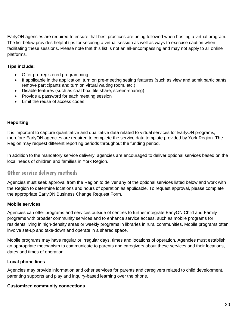EarlyON agencies are required to ensure that best practices are being followed when hosting a virtual program. The list below provides helpful tips for securing a virtual session as well as ways to exercise caution when facilitating these sessions. Please note that this list is not an all-encompassing and may not apply to all online platforms.

#### **Tips include:**

- Offer pre-registered programming
- If applicable in the application, turn on pre-meeting setting features (such as view and admit participants, remove participants and turn on virtual waiting room, etc.)
- Disable features (such as chat box, file share, screen-sharing)
- Provide a password for each meeting session
- Limit the reuse of access codes

#### **Reporting**

It is important to capture quantitative and qualitative data related to virtual services for EarlyON programs, therefore EarlyON agencies are required to complete the service data template provided by York Region. The Region may request different reporting periods throughout the funding period.

In addition to the mandatory service delivery, agencies are encouraged to deliver optional services based on the local needs of children and families in York Region.

### <span id="page-19-0"></span>**Other service delivery methods**

Agencies must seek approval from the Region to deliver any of the optional services listed below and work with the Region to determine locations and hours of operation as applicable. To request approval, please complete the appropriate EarlyON Business Change Request Form.

#### **Mobile services**

Agencies can offer programs and services outside of centres to further integrate EarlyON Child and Family programs with broader community services and to enhance service access, such as mobile programs for residents living in high-density areas or weekly programs in libraries in rural communities. Mobile programs often involve set-up and take-down and operate in a shared space.

Mobile programs may have regular or irregular days, times and locations of operation. Agencies must establish an appropriate mechanism to communicate to parents and caregivers about these services and their locations, dates and times of operation.

#### **Local phone lines**

Agencies may provide information and other services for parents and caregivers related to child development, parenting supports and play and inquiry-based learning over the phone.

#### **Customized community connections**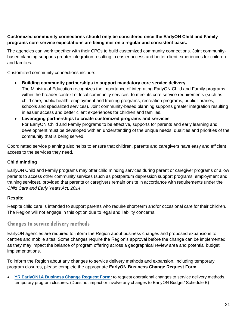### **Customized community connections should only be considered once the EarlyON Child and Family programs core service expectations are being met on a regular and consistent basis.**

The agencies can work together with their CPCs to build customized community connections. Joint communitybased planning supports greater integration resulting in easier access and better client experiences for children and families.

Customized community connections include:

- **Building community partnerships to support mandatory core service delivery** The Ministry of Education recognizes the importance of integrating EarlyON Child and Family programs within the broader context of local community services, to meet its core service requirements (such as child care, public health, employment and training programs, recreation programs, public libraries, schools and specialized services). Joint community-based planning supports greater integration resulting in easier access and better client experiences for children and families.
- **Leveraging partnerships to create customized programs and services** For EarlyON Child and Family programs to be effective, supports for parents and early learning and development must be developed with an understanding of the unique needs, qualities and priorities of the community that is being served.

Coordinated service planning also helps to ensure that children, parents and caregivers have easy and efficient access to the services they need.

### **Child minding**

EarlyON Child and Family programs may offer child minding services during parent or caregiver programs or allow parents to access other community services (such as postpartum depression support programs, employment and training services), provided that parents or caregivers remain onsite in accordance with requirements under the *Child Care and Early Years Act, 2014*.

### **Respite**

Respite child care is intended to support parents who require short-term and/or occasional care for their children. The Region will not engage in this option due to legal and liability concerns.

### <span id="page-20-0"></span>**Changes to service delivery methods**

EarlyON agencies are required to inform the Region about business changes and proposed expansions to centres and mobile sites. Some changes require the Region's approval before the change can be implemented as they may impact the balance of program offering across a geographical review area and potential budget implementations.

To inform the Region about any changes to service delivery methods and expansion, including temporary program closures, please complete the appropriate **EarlyON Business Change Request Form**.

• **[YR EarlyON1A Business Change Request Form:](https://www.york.ca/wps/wcm/connect/yorkpublic/a6d0aa27-dd35-4762-9a36-4c60b45a875c/YR-EarlyON1-A.PDF?MOD=AJPERES)** to request operational changes to service delivery methods, temporary program closures. (Does not impact or involve any changes to EarlyON Budget/ Schedule B)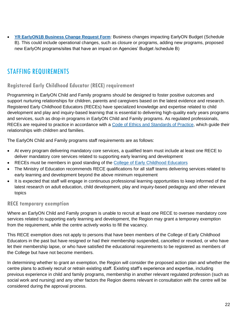• **[YR EarlyON1B Business Change Request Form](https://www.york.ca/wps/wcm/connect/yorkpublic/bb536ef9-cb98-4ebf-8a2e-2e9f51315bbd/YR-EarlyON1-B.PDF?MOD=AJPERES)**: Business changes impacting EarlyON Budget (Schedule B). This could include operational changes, such as closure or programs, adding new programs, proposed new EarlyON programs/sites that have an impact on Agencies' Budget /schedule B)

### <span id="page-21-0"></span>STAFFING REQUIREMENTS

### <span id="page-21-1"></span>**Registered Early Childhood Educator (RECE) requirement**

Programming in EarlyON Child and Family programs should be designed to foster positive outcomes and support nurturing relationships for children, parents and caregivers based on the latest evidence and research. Registered Early Childhood Educators (RECEs) have specialized knowledge and expertise related to child development and play and inquiry-based learning that is essential to delivering high-quality early years programs and services, such as drop-in programs in EarlyON Child and Family programs. As regulated professionals, RECEs are required to practice in accordance with a [Code of Ethics and Standards of Practice,](https://www.college-ece.ca/en/Members/professionalstandards) which guide their relationships with children and families.

The EarlyON Child and Family programs staff requirements are as follows:

- At every program delivering mandatory core services, a qualified team must include at least one RECE to deliver mandatory core services related to supporting early learning and development
- RECEs must be members in good standing of the [College of Early Childhood Educators](https://www.college-ece.ca/en/)
- The Ministry of Education recommends RECE qualifications for all staff teams delivering services related to early learning and development beyond the above minimum requirement
- It is expected that staff will engage in continuous professional learning opportunities to keep informed of the latest research on adult education, child development, play and inquiry-based pedagogy and other relevant topics

### **RECE temporary exemption**

Where an EarlyON Child and Family program is unable to recruit at least one RECE to oversee mandatory core services related to supporting early learning and development, the Region may grant a temporary exemption from the requirement, while the centre actively works to fill the vacancy.

This RECE exemption does not apply to persons that have been members of the College of Early Childhood Educators in the past but have resigned or had their membership suspended, cancelled or revoked, or who have let their membership lapse, or who have satisfied the educational requirements to be registered as members of the College but have not become members.

In determining whether to grant an exemption, the Region will consider the proposed action plan and whether the centre plans to actively recruit or retrain existing staff. Existing staff's experience and expertise, including previous experience in child and family programs, membership in another relevant regulated profession (such as social work and nursing) and any other factors the Region deems relevant in consultation with the centre will be considered during the approval process.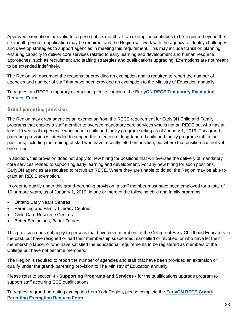Approved exemptions are valid for a period of six months. If an exemption continues to be required beyond the six-month period, reapplication may be required, and the Region will work with the agency to identify challenges and develop strategies to support agencies in meeting this requirement. This may include transition planning, ensuring capacity to deliver core services related to early learning and development and human resource approaches, such as recruitment and staffing strategies and qualifications upgrading. Exemptions are not meant to be extended indefinitely.

The Region will document the reasons for providing an exemption and is required to report the number of agencies and number of staff that have been provided an exemption to the Ministry of Education annually.

To request an RECE temporary exemption, please complete the **[EarlyON RECE Temporary Exemption](https://www.york.ca/wps/wcm/connect/yorkpublic/4233aea4-cbd7-4f52-8396-2f465589b1b8/YR-EarlyON3-RECE-Temporary-Exemption-Form.pdf?MOD=AJPERES)  [Request Form](https://www.york.ca/wps/wcm/connect/yorkpublic/4233aea4-cbd7-4f52-8396-2f465589b1b8/YR-EarlyON3-RECE-Temporary-Exemption-Form.pdf?MOD=AJPERES)**.

### <span id="page-22-0"></span>**Grand-parenting provision**

The Region may grant agencies an exemption from the RECE requirement for EarlyON Child and Family programs that employ a staff member to oversee mandatory core services who is not an RECE but who has at least 10 years of experience working in a child and family program setting as of January 1, 2019. This grandparenting provision is intended to support the retention of long-tenured child and family program staff in their positions, including the rehiring of staff who have recently left their position, but where that position has not yet been filled.

In addition, this provision does not apply to new hiring for positions that will oversee the delivery of mandatory core services related to supporting early learning and development. For any new hiring for such positions, EarlyON agencies are required to recruit an RECE. Where they are unable to do so, the Region may be able to grant an RECE exemption.

In order to qualify under this grand-parenting provision, a staff member must have been employed for a total of 10 or more years, as of January 1, 2019, in one or more of the following child and family programs:

- Ontario Early Years Centres
- Parenting and Family Literacy Centres
- Child Care Resource Centres
- Better Beginnings, Better Futures

This provision does not apply to persons that have been members of the College of Early Childhood Educators in the past, but have resigned or had their membership suspended, cancelled or revoked, or who have let their membership lapse, or who have satisfied the educational requirements to be registered as members of the College but have not become members.

The Region is required to report the number of agencies and staff that have been provided an extension or qualify under the grand- parenting provision to The Ministry of Education annually.

Please refer to section 4 - **Supporting Programs and Services -** for the qualifications upgrade program to support staff acquiring ECE qualifications.

To request a grand-parenting exemption from York Region, please complete the **[EarlyON RECE Grand-](https://www.york.ca/wps/wcm/connect/yorkpublic/47127d76-e3d2-4d82-9912-8b603c9ff3f5/YR-EarlyON2-RECE-Grand-Parenting-Exemption-Request-Form.pdf?MOD=AJPERES)[Parenting Exemption Request Form](https://www.york.ca/wps/wcm/connect/yorkpublic/47127d76-e3d2-4d82-9912-8b603c9ff3f5/YR-EarlyON2-RECE-Grand-Parenting-Exemption-Request-Form.pdf?MOD=AJPERES)**.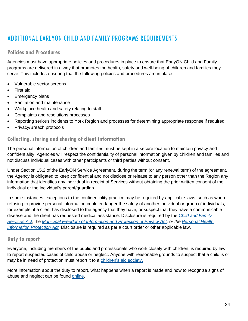## <span id="page-23-0"></span>ADDITIONAL EARLYON CHILD AND FAMILY PROGRAMS REQUIREMENTS

### <span id="page-23-1"></span>**Policies and Procedures**

Agencies must have appropriate policies and procedures in place to ensure that EarlyON Child and Family programs are delivered in a way that promotes the health, safety and well-being of children and families they serve. This includes ensuring that the following policies and procedures are in place:

- Vulnerable sector screens
- First aid
- **Emergency plans**
- Sanitation and maintenance
- Workplace health and safety relating to staff
- Complaints and resolutions processes
- Reporting serious incidents to York Region and processes for determining appropriate response if required
- Privacy/Breach protocols

### <span id="page-23-2"></span>**Collecting, storing and sharing of client information**

The personal information of children and families must be kept in a secure location to maintain privacy and confidentiality. Agencies will respect the confidentiality of personal information given by children and families and not discuss individual cases with other participants or third parties without consent.

Under Section 15.2 of the EarlyON Service Agreement, during the term (or any renewal term) of the agreement, the Agency is obligated to keep confidential and not disclose or release to any person other than the Region any information that identifies any individual in receipt of Services without obtaining the prior written consent of the individual or the individual's parent/guardian.

In some instances, exceptions to the confidentiality practice may be required by applicable laws, such as when refusing to provide personal information could endanger the safety of another individual or group of individuals; for example, if a client has disclosed to the agency that they have, or suspect that they have a communicable disease and the client has requested medical assistance. Disclosure is required by the *[Child and Family](https://www.ontario.ca/laws/statute/90c11)  [Services Act](https://www.ontario.ca/laws/statute/90c11)*, the *[Municipal Freedom of Information and Protection of Privacy Act,](https://www.ontario.ca/laws/statute/90m56) or the [Personal Health](https://www.ontario.ca/laws/statute/04p03)  [Information Protection Act.](https://www.ontario.ca/laws/statute/04p03)* Disclosure is required as per a court order or other applicable law.

### <span id="page-23-3"></span>**Duty to report**

Everyone, including members of the public and professionals who work closely with children, is required by law to report suspected cases of child abuse or neglect. Anyone with reasonable grounds to suspect that a child is or may be in need of protection must report it to a [children's aid society.](http://www.children.gov.on.ca/htdocs/English/childrensaid/reportingabuse/CASLocations.aspx)

More information about the duty to report, what happens when a report is made and how to recognize signs of abuse and neglect can be found [online.](http://www.children.gov.on.ca/htdocs/English/childrensaid/reportingabuse/index.aspx)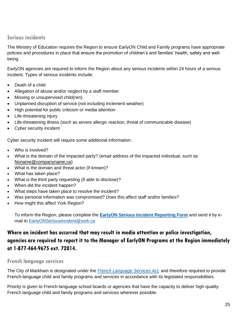### <span id="page-24-0"></span>**Serious incidents**

The Ministry of Education requires the Region to ensure EarlyON Child and Family programs have appropriate policies and procedures in place that ensure the promotion of children's and families' health, safety and wellbeing.

EarlyON agencies are required to inform the Region about any serious incidents within 24 hours of a serious incident. Types of serious incidents include:

- Death of a child
- Allegation of abuse and/or neglect by a staff member
- Missing or unsupervised child(ren)
- Unplanned disruption of service (not including inclement weather)
- High potential for public criticism or media attention
- Life-threatening injury
- Life-threatening illness (such as severe allergic reaction, threat of communicable disease)
- Cyber security incident

Cyber security incident will require some additional information:

- Who is involved?
- What is the domain of the impacted party? (email address of the impacted individual, such as [Noname@companyname.ca\)](mailto:Noname@companyname.ca)
- What is the domain and threat actor (if known)?
- What has taken place?
- What is the third party requesting (if able to disclose)?
- When did the incident happen?
- What steps have taken place to resolve the incident?
- Was personal information was compromised? Does this affect staff and/or families?
- How might this affect York Region?

To inform the Region, please complete the **[EarlyON Serious Incident Reporting Form](https://www.york.ca/wps/wcm/connect/yorkpublic/b5a65957-627b-4aa2-afe0-1bdf44f01ea6/YR-EarlyON4-Serious-Incident-Reporting-Form-COVID.pdf?MOD=AJPERES&CVID=nZVys55)** and send it by email to [EarlyONSeriousincident@york.ca](mailto:EarlyONSeriousincident@york.ca)

### **Where an incident has occurred that may result in media attention or police investigation, agencies are required to report it to the Manager of EarlyON Programs at the Region immediately at 1-877-464-9675 ext. 72014.**

### <span id="page-24-1"></span>**French language services**

The City of Markham is designated under the *[French Language Services Act,](https://www.ontario.ca/laws/statute/90f32)* and therefore required to provide French-language child and family programs and services in accordance with its legislated responsibilities.

Priority is given to French-language school boards or agencies that have the capacity to deliver high-quality French language child and family programs and services wherever possible.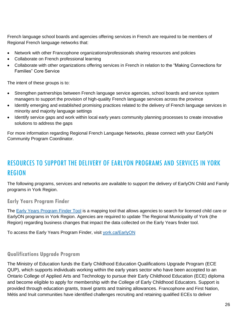French language school boards and agencies offering services in French are required to be members of Regional French language networks that:

- Network with other Francophone organizations/professionals sharing resources and policies
- Collaborate on French professional learning
- Collaborate with other organizations offering services in French in relation to the "Making Connections for Families" Core Service

The intent of these groups is to:

- Strengthen partnerships between French language service agencies, school boards and service system managers to support the provision of high-quality French language services across the province
- Identify emerging and established promising practices related to the delivery of French language services in minority and majority language settings
- Identify service gaps and work within local early years community planning processes to create innovative solutions to address the gaps

For more information regarding Regional French Language Networks, please connect with your EarlyON Community Program Coordinator.

# <span id="page-25-0"></span>RESOURCES TO SUPPORT THE DELIVERY OF EARLYON PROGRAMS AND SERVICES IN YORK REGION

The following programs, services and networks are available to support the delivery of EarlyON Child and Family programs in York Region.

<span id="page-25-1"></span>**Early Years Program Finder**

The [Early Years Program Finder Tool](https://ww6.yorkmaps.ca/Html5Viewer24/Index.html?viewer=ChildrensServices.YorkMaps) is a mapping tool that allows agencies to search for licensed child care or EarlyON programs in York Region. Agencies are required to update The Regional Municipality of York (the Region) regarding business changes that impact the data collected on the Early Years finder tool.

To access the Early Years Program Finder, visit [york.ca/EarlyON](http://www.york.ca/EarlyON)

### <span id="page-25-2"></span>**Qualifications Upgrade Program**

The Ministry of Education funds the Early Childhood Education Qualifications Upgrade Program (ECE QUP), which supports individuals working within the early years sector who have been accepted to an Ontario College of Applied Arts and Technology to pursue their Early Childhood Education (ECE) diploma and become eligible to apply for membership with the College of Early Childhood Educators. Support is provided through education grants, travel grants and training allowances. Francophone and First Nation, Métis and Inuit communities have identified challenges recruiting and retaining qualified ECEs to deliver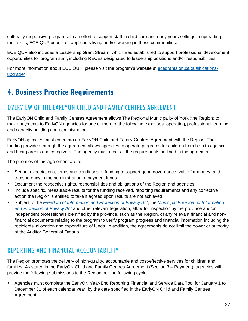culturally responsive programs. In an effort to support staff in child care and early years settings in upgrading their skills, ECE QUP prioritizes applicants living and/or working in these communities.

ECE QUP also includes a Leadership Grant Stream, which was established to support professional development opportunities for program staff, including RECEs designated to leadership positions and/or responsibilities.

For more information about ECE QUP, please visit the program's website at [ecegrants.on.ca/qualifications](https://www.ecegrants.on.ca/qualifications-upgrade/)[upgrade/](https://www.ecegrants.on.ca/qualifications-upgrade/)

### <span id="page-26-0"></span>**4. Business Practice Requirements**

### <span id="page-26-1"></span>OVERVIEW OF THE EARLYON CHILD AND FAMILY CENTRES AGREEMENT

The EarlyON Child and Family Centres Agreement allows The Regional Municipality of York (the Region) to make payments to EarlyON agencies for one or more of the following expenses: operating, professional learning and capacity building and administration.

EarlyON agencies must enter into an EarlyON Child and Family Centres Agreement with the Region. The funding provided through the agreement allows agencies to operate programs for children from birth to age six and their parents and caregivers. The agency must meet all the requirements outlined in the agreement.

The priorities of this agreement are to:

- Set out expectations, terms and conditions of funding to support good governance, value for money, and transparency in the administration of payment funds
- Document the respective rights, responsibilities and obligations of the Region and agencies
- Include specific, measurable results for the funding received, reporting requirements and any corrective action the Region is entitled to take if agreed upon results are not achieved
- Subject to the *[Freedom of Information and Protection of Privacy Act](https://www.ontario.ca/laws/statute/90f31)*, the *[Municipal Freedom of Information](https://www.ontario.ca/laws/statute/90m56)  [and Protection of Privacy Act](https://www.ontario.ca/laws/statute/90m56)* and other relevant legislation, allow for inspection by the province and/or independent professionals identified by the province, such as the Region, of any relevant financial and nonfinancial documents relating to the program to verify program progress and financial information including the recipients' allocation and expenditure of funds. In addition, the agreements do not limit the power or authority of the Auditor General of Ontario.

### <span id="page-26-2"></span>REPORTING AND FINANCIAL ACCOUNTABILITY

The Region promotes the delivery of high-quality, accountable and cost-effective services for children and families. As stated in the EarlyON Child and Family Centres Agreement (Section 3 – Payment), agencies will provide the following submissions to the Region per the following cycle:

• Agencies must complete the EarlyON Year-End Reporting Financial and Service Data Tool for January 1 to December 31 of each calendar year, by the date specified in the EarlyON Child and Family Centres Agreement.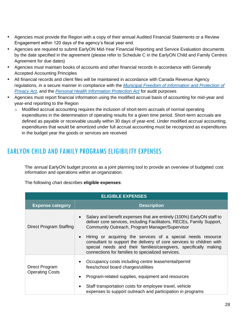- Agencies must provide the Region with a copy of their annual Audited Financial Statements or a Review Engagement within 120 days of the agency's fiscal year end.
- Agencies are required to submit EarlyON Mid-Year Financial Reporting and Service Evaluation documents by the date specified in the agreement (please refer to Schedule C in the EarlyON Child and Family Centres Agreement for due dates)
- Agencies must maintain books of accounts and other financial records in accordance with Generally Accepted Accounting Principles
- All financial records and client files will be maintained in accordance with Canada Revenue Agency regulations, in a secure manner in compliance with the *[Municipal Freedom of Information and Protection of](https://www.ontario.ca/laws/statute/90m56)  [Privacy Act,](https://www.ontario.ca/laws/statute/90m56)* and the *[Personal Health Information Protection Act](https://www.ontario.ca/laws/statute/04p03)* for audit purposes
- Agencies must report financial information using the modified accrual basis of accounting for mid-year and year-end reporting to the Region
	- $\circ$  Modified accrual accounting requires the inclusion of short-term accruals of normal operating expenditures in the determination of operating results for a given time period. Short-term accruals are defined as payable or receivable usually within 30 days of year-end. Under modified accrual accounting, expenditures that would be amortized under full accrual accounting must be recognized as expenditures in the budget year the goods or services are received

### <span id="page-27-0"></span>EARLYON CHILD AND FAMILY PROGRAMS ELIGIBILITY EXPENSES

The annual EarlyON budget process as a joint planning tool to provide an overview of budgeted cost information and operations within an organization.

The following chart describes **eligible expenses**:

| <b>ELIGIBLE EXPENSES</b>                 |                                                                                                                                                                                                                                                                  |
|------------------------------------------|------------------------------------------------------------------------------------------------------------------------------------------------------------------------------------------------------------------------------------------------------------------|
| <b>Expense category</b>                  | <b>Description</b>                                                                                                                                                                                                                                               |
| Direct Program Staffing                  | Salary and benefit expenses that are entirely (100%) EarlyON staff to<br>deliver core services, including Facilitators, RECEs, Family Support,<br>Community Outreach, Program Manager/Supervisor<br>Hiring or acquiring the services of a special needs resource |
|                                          | consultant to support the delivery of core services to children with<br>special needs and their families/caregivers, specifically making<br>connections for families to specialized services.                                                                    |
| Direct Program<br><b>Operating Costs</b> | Occupancy costs including centre lease/rental/permit<br>fees/school board charges/utilities<br>Program-related supplies, equipment and resources                                                                                                                 |
|                                          | Staff transportation costs for employee travel, vehicle<br>expenses to support outreach and participation in programs                                                                                                                                            |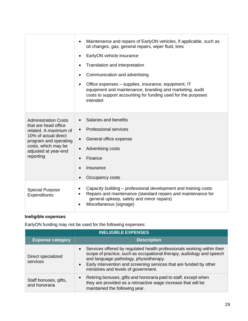|                                                                                                                                                                                           | Maintenance and repairs of EarlyON vehicles, if applicable, such as<br>oil changes, gas, general repairs, wiper fluid, tires<br>EarlyON vehicle insurance<br>Translation and interpretation<br>Communication and advertising<br>Office expenses – supplies, insurance, equipment, IT<br>equipment and maintenance, branding and marketing, audit<br>costs to support accounting for funding used for the purposes<br>intended |
|-------------------------------------------------------------------------------------------------------------------------------------------------------------------------------------------|-------------------------------------------------------------------------------------------------------------------------------------------------------------------------------------------------------------------------------------------------------------------------------------------------------------------------------------------------------------------------------------------------------------------------------|
| <b>Administration Costs</b><br>that are head office<br>related. A maximum of<br>10% of actual direct<br>program and operating<br>costs, which may be<br>adjusted at year-end<br>reporting | Salaries and benefits<br><b>Professional services</b><br>$\bullet$<br>General office expense<br>$\bullet$<br>Advertising costs<br>$\bullet$<br>Finance<br>Insurance<br>$\bullet$<br>Occupancy costs<br>$\bullet$                                                                                                                                                                                                              |
| <b>Special Purpose</b><br><b>Expenditures</b>                                                                                                                                             | Capacity building - professional development and training costs<br>Repairs and maintenance (standard repairs and maintenance for<br>$\bullet$<br>general upkeep, safety and minor repairs)<br>Miscellaneous (signage)                                                                                                                                                                                                         |

### <span id="page-28-0"></span>**Ineligible expenses**

EarlyON funding may not be used for the following expenses:

| <b>INELIGIBLE EXPENSES</b>             |                                                                                                                                                                                                                                                                                                                                    |
|----------------------------------------|------------------------------------------------------------------------------------------------------------------------------------------------------------------------------------------------------------------------------------------------------------------------------------------------------------------------------------|
| <b>Expense category</b>                | <b>Description</b>                                                                                                                                                                                                                                                                                                                 |
| Direct specialized<br>services         | Services offered by regulated health professionals working within their<br>$\bullet$<br>scope of practice, such as occupational therapy, audiology and speech<br>and language pathology, physiotherapy.<br>Early intervention and screening services that are funded by other<br>$\bullet$<br>ministries and levels of government. |
| Staff bonuses, gifts,<br>and honoraria | Retiring bonuses, gifts and honoraria paid to staff, except when<br>$\bullet$<br>they are provided as a retroactive wage increase that will be<br>maintained the following year.                                                                                                                                                   |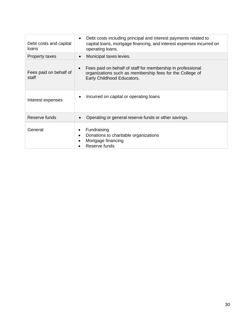| Debt costs and capital<br>loans | Debt costs including principal and interest payments related to<br>$\bullet$<br>capital loans, mortgage financing, and interest expenses incurred on<br>operating loans. |
|---------------------------------|--------------------------------------------------------------------------------------------------------------------------------------------------------------------------|
| Property taxes                  | Municipal taxes levies.<br>$\bullet$                                                                                                                                     |
| Fees paid on behalf of<br>staff | Fees paid on behalf of staff for membership in professional<br>organizations such as membership fees for the College of<br>Early Childhood Educators.                    |
| Interest expenses               | Incurred on capital or operating loans<br>$\bullet$                                                                                                                      |
| Reserve funds                   | Operating or general reserve funds or other savings.<br>$\bullet$                                                                                                        |
| General                         | Fundraising<br>Donations to charitable organizations<br>$\bullet$<br>Mortgage financing<br>Reserve funds                                                                 |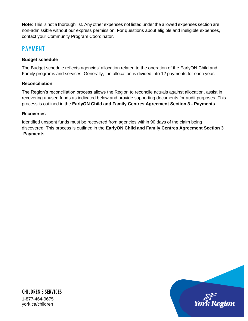**Note**: This is not a thorough list. Any other expenses not listed under the allowed expenses section are non-admissible without our express permission. For questions about eligible and ineligible expenses, contact your Community Program Coordinator.

### <span id="page-30-0"></span>PAYMENT

### **Budget schedule**

The Budget schedule reflects agencies' allocation related to the operation of the EarlyON Child and Family programs and services. Generally, the allocation is divided into 12 payments for each year.

### **Reconciliation**

The Region's reconciliation process allows the Region to reconcile actuals against allocation, assist in recovering unused funds as indicated below and provide supporting documents for audit purposes. This process is outlined in the **EarlyON Child and Family Centres Agreement Section 3 - Payments**.

### **Recoveries**

Identified unspent funds must be recovered from agencies within 90 days of the claim being discovered. This process is outlined in the **EarlyON Child and Family Centres Agreement Section 3 -Payments.**

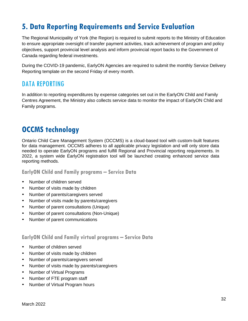# <span id="page-31-0"></span>**5. Data Reporting Requirements and Service Evaluation**

The Regional Municipality of York (the Region) is required to submit reports to the Ministry of Education to ensure appropriate oversight of transfer payment activities, track achievement of program and policy objectives, support provincial level analysis and inform provincial report backs to the Government of Canada regarding federal investments.

During the COVID-19 pandemic, EarlyON Agencies are required to submit the monthly Service Delivery Reporting template on the second Friday of every month.

### <span id="page-31-1"></span>DATA REPORTING

In addition to reporting expenditures by expense categories set out in the EarlyON Child and Family Centres Agreement, the Ministry also collects service data to monitor the impact of EarlyON Child and Family programs.

### <span id="page-31-2"></span>**OCCMS technology**

Ontario Child Care Management System (OCCMS) is a cloud-based tool with custom-built features for data management. OCCMS adheres to all applicable privacy legislation and will only store data needed to operate EarlyON programs and fulfill Regional and Provincial reporting requirements. In 2022, a system wide EarlyON registration tool will be launched creating enhanced service data reporting methods.

<span id="page-31-3"></span>**EarlyON Child and Family programs – Service Data**

- Number of children served
- Number of visits made by children
- Number of parents/caregivers served
- Number of visits made by parents/caregivers
- Number of parent consultations (Unique)
- Number of parent consultations (Non-Unique)
- Number of parent communications

### <span id="page-31-4"></span>**EarlyON Child and Family virtual programs – Service Data**

- Number of children served
- Number of visits made by children
- Number of parents/caregivers served
- Number of visits made by parents/caregivers
- Number of Virtual Programs
- Number of FTE program staff
- Number of Virtual Program hours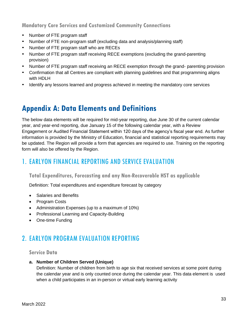<span id="page-32-0"></span>**Mandatory Core Services and Customized Community Connections**

- Number of FTE program staff
- Number of FTE non-program staff (excluding data and analysis/planning staff)
- Number of FTE program staff who are RECEs
- Number of FTE program staff receiving RECE exemptions (excluding the grand-parenting provision)
- Number of FTE program staff receiving an RECE exemption through the grand- parenting provision
- Confirmation that all Centres are compliant with planning guidelines and that programming aligns with HDLH
- Identify any lessons learned and progress achieved in meeting the mandatory core services

# <span id="page-32-1"></span>**Appendix A: Data Elements and Definitions**

The below data elements will be required for mid-year reporting, due June 30 of the current calendar year, and year-end reporting, due January 15 of the following calendar year, with a Review Engagement or Audited Financial Statement within 120 days of the agency's fiscal year end. As further information is provided by the Ministry of Education, financial and statistical reporting requirements may be updated. The Region will provide a form that agencies are required to use. Training on the reporting form will also be offered by the Region.

### <span id="page-32-2"></span>1. EARLYON FINANCIAL REPORTING AND SERVICE EVALUATION

### <span id="page-32-3"></span>**Total Expenditures, Forecasting and any Non-Recoverable HST as applicable**

Definition: Total expenditures and expenditure forecast by category

- Salaries and Benefits
- Program Costs
- Administration Expenses (up to a maximum of 10%)
- Professional Learning and Capacity-Building
- One-time Funding

### <span id="page-32-4"></span>2. EARLYON PROGRAM EVALUATION REPORTING

### <span id="page-32-5"></span>**Service Data**

### **a. Number of Children Served (Unique)**

Definition: Number of children from birth to age six that received services at some point during the calendar year and is only counted once during the calendar year. This data element is used when a child participates in an in-person or virtual early learning activity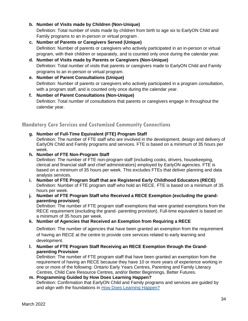### **b. Number of Visits made by Children (Non-Unique)**

Definition: Total number of visits made by children from birth to age six to EarlyON Child and Family programs to an in-person or virtual program .

- **c. Number of Parents or Caregivers Served (Unique)** Definition: Number of parents or caregivers who actively participated in an in-person or virtual program, with their children or separately, and is counted only once during the calendar year.
- **d. Number of Visits made by Parents or Caregivers (Non-Unique)** Definition: Total number of visits that parents or caregivers made to EarlyON Child and Family programs to an in-person or virtual program.
- **e. Number of Parent Consultations (Unique)** Definition: Number of parents or caregivers who actively participated in a program consultation, with a program staff, and is counted only once during the calendar year.
- **f. Number of Parent Consultations (Non-Unique)** Definition: Total number of consultations that parents or caregivers engage in throughout the calendar year.

### <span id="page-33-0"></span>**Mandatory Core Services and Customized Community Connections**

### **g. Number of Full-Time Equivalent (FTE) Program Staff**

Definition: The number of FTE staff who are involved in the development, design and delivery of EarlyON Child and Family programs and services. FTE is based on a minimum of 35 hours per week.

### **h. Number of FTE Non-Program Staff**

Definition: The number of FTE non-program staff (including cooks, drivers, housekeeping, clerical and financial staff and chief administrators) employed by EarlyON agencies. FTE is based on a minimum of 35 hours per week. This excludes FTEs that deliver planning and data analysis services.

- **i. Number of FTE Program Staff that are Registered Early Childhood Educators (RECE)** Definition: Number of FTE program staff who hold an RECE. FTE is based on a minimum of 35 hours per week.
- **j. Number of FTE Program Staff who Received a RECE Exemption (excluding the grandparenting provision)**

Definition: The number of FTE program staff exemptions that were granted exemptions from the RECE requirement (excluding the grand- parenting provision). Full-time equivalent is based on a minimum of 35 hours per week.

### **k. Number of Agencies that Received an Exemption from Requiring a RECE**

Definition: The number of agencies that have been granted an exemption from the requirement of having an RECE at the centre to provide core services related to early learning and development.

**l. Number of FTE Program Staff Receiving an RECE Exemption through the Grandparenting Provision**

Definition: The number of FTE program staff that have been granted an exemption from the requirement of having an RECE because they have 10 or more years of experience working in one or more of the following: Ontario Early Years Centres, Parenting and Family Literacy Centres, Child Care Resource Centres, and/or Better Beginnings, Better Futures.

#### **m. Programming Guided by How Does Learning Happen?** Definition: Confirmation that EarlyON Child and Family programs and services are guided by and align with the foundations in [How Does Learning Happen?](http://www.edu.gov.on.ca/childcare/HowLearningHappens.pdf)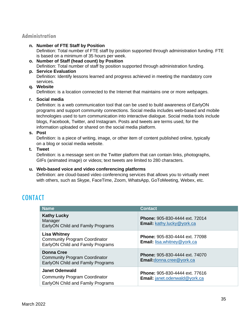### <span id="page-34-0"></span>**Administration**

#### **n. Number of FTE Staff by Position**

Definition: Total number of FTE staff by position supported through administration funding. FTE is based on a minimum of 35 hours per week.

**o. Number of Staff (head count) by Position** Definition: Total number of staff by position supported through administration funding.

#### **p. Service Evaluation**

Definition: Identify lessons learned and progress achieved in meeting the mandatory core services.

### **q. Website**

Definition: is a location connected to the Internet that maintains one or more webpages.

#### **r. Social media**

Definition: is a web communication tool that can be used to build awareness of EarlyON programs and support community connections. Social media includes web-based and mobile technologies used to turn communication into interactive dialogue. Social media tools include blogs, Facebook, Twitter, and Instagram. Posts and tweets are terms used, for the information uploaded or shared on the social media platform.

#### **s. Post**

Definition: is a piece of writing, image, or other item of content published online, typically on a blog or social media website.

#### **t. Tweet**

Definition: is a message sent on the Twitter platform that can contain links, photographs, GIFs (animated image) or videos; text tweets are limited to 280 characters.

### **u. Web-based voice and video conferencing platforms**

Definition: are cloud-based video conferencing services that allows you to virtually meet with others, such as Skype, FaceTime, Zoom, WhatsApp, GoToMeeting, Webex, etc.

### <span id="page-34-1"></span>**CONTACT**

| <b>Name</b>                                                                                           | <b>Contact</b>                                                                |
|-------------------------------------------------------------------------------------------------------|-------------------------------------------------------------------------------|
| <b>Kathy Lucky</b><br>Manager<br>EarlyON Child and Family Programs                                    | <b>Phone: 905-830-4444 ext. 72014</b><br><b>Email:</b> kathy.lucky@york.ca    |
| <b>Lisa Whitney</b><br><b>Community Program Coordinator</b><br>EarlyON Child and Family Programs      | <b>Phone: 905-830-4444 ext. 77098</b><br><b>Email:</b> lisa.whitney@york.ca   |
| <b>Donna Cree</b><br><b>Community Program Coordinator</b><br><b>EarlyON Child and Family Programs</b> | <b>Phone: 905-830-4444 ext. 74070</b><br><b>Email:</b> donna.cree@york.ca     |
| <b>Janet Odenwald</b><br><b>Community Program Coordinator</b><br>EarlyON Child and Family Programs    | <b>Phone: 905-830-4444 ext. 77616</b><br><b>Email:</b> janet.odenwald@york.ca |